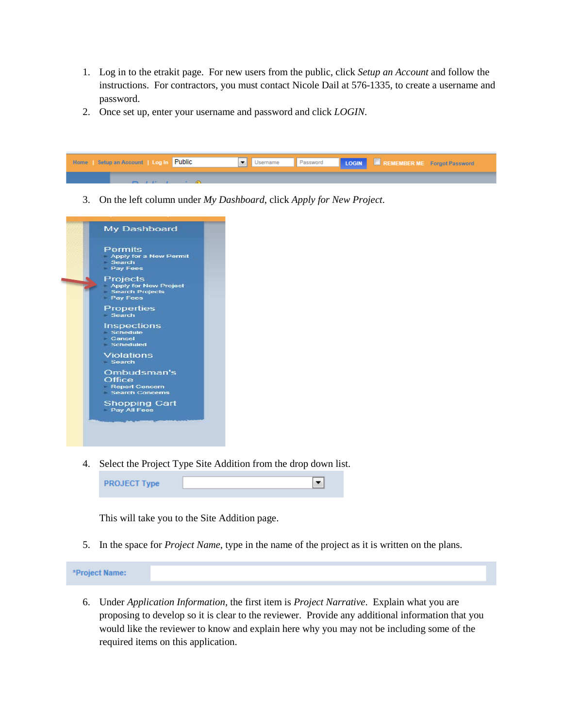- 1. Log in to the etrakit page. For new users from the public, click *Setup an Account* and follow the instructions. For contractors, you must contact Nicole Dail at 576-1335, to create a username and password.
- 2. Once set up, enter your username and password and click *LOGIN*.



3. On the left column under *My Dashboard*, click *Apply for New Project*.



4. Select the Project Type Site Addition from the drop down list.



This will take you to the Site Addition page.

5. In the space for *Project Name*, type in the name of the project as it is written on the plans.

| *Project Name: |  |  |  |
|----------------|--|--|--|
|----------------|--|--|--|

6. Under *Application Information*, the first item is *Project Narrative*. Explain what you are proposing to develop so it is clear to the reviewer. Provide any additional information that you would like the reviewer to know and explain here why you may not be including some of the required items on this application.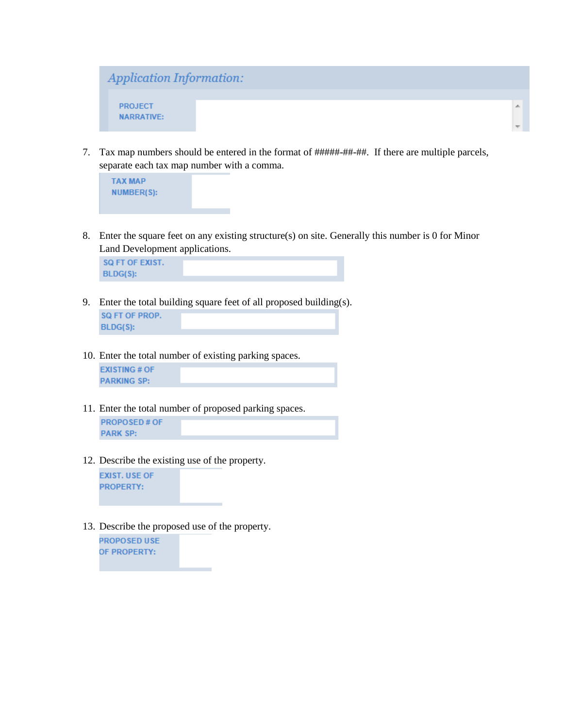

7. Tax map numbers should be entered in the format of  $\# \# \# \# \# \# \# \#$ . If there are multiple parcels, separate each tax map number with a comma.



8. Enter the square feet on any existing structure(s) on site. Generally this number is 0 for Minor Land Development applications.

SQ FT OF EXIST. **BLDG(S):** 

- 9. Enter the total building square feet of all proposed building(s). SQ FT OF PROP.  $BLDG(S):$
- 10. Enter the total number of existing parking spaces.

**EXISTING # OF PARKING SP:** 

- 11. Enter the total number of proposed parking spaces. **PROPOSED # OF PARK SP:**
- 12. Describe the existing use of the property.

**EXIST. USE OF PROPERTY:** 

13. Describe the proposed use of the property.

**PROPOSED USE** OF PROPERTY: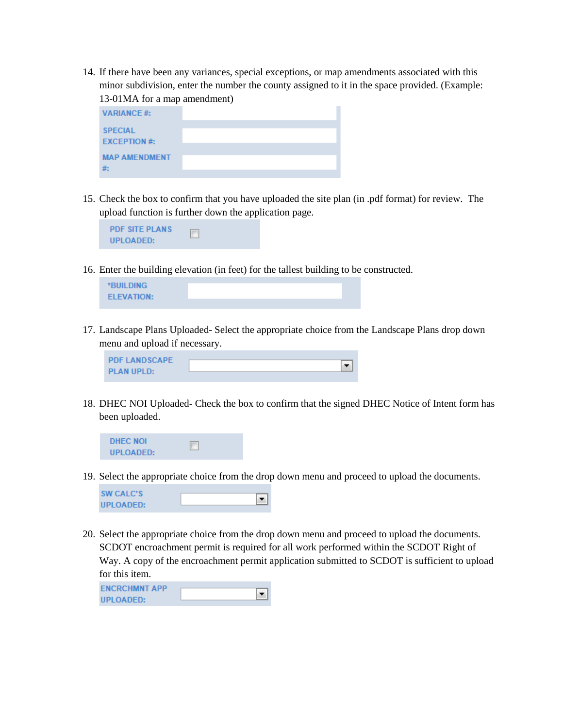14. If there have been any variances, special exceptions, or map amendments associated with this minor subdivision, enter the number the county assigned to it in the space provided. (Example: 13-01MA for a map amendment)

| <b>VARIANCE#:</b>              |  |
|--------------------------------|--|
| <b>SPECIAL</b><br>EXCEPTION #: |  |
| <b>MAP AMENDMENT</b><br>#:     |  |

15. Check the box to confirm that you have uploaded the site plan (in .pdf format) for review. The upload function is further down the application page.



16. Enter the building elevation (in feet) for the tallest building to be constructed.



17. Landscape Plans Uploaded- Select the appropriate choice from the Landscape Plans drop down menu and upload if necessary.

| <b>PDF LANDSCAPE</b> |  |
|----------------------|--|
|                      |  |
| <b>PLAN UPLD:</b>    |  |

18. DHEC NOI Uploaded- Check the box to confirm that the signed DHEC Notice of Intent form has been uploaded.



19. Select the appropriate choice from the drop down menu and proceed to upload the documents.



20. Select the appropriate choice from the drop down menu and proceed to upload the documents. SCDOT encroachment permit is required for all work performed within the SCDOT Right of Way. A copy of the encroachment permit application submitted to SCDOT is sufficient to upload for this item.

| <b>ENCRCHMNT APP</b> |  |
|----------------------|--|
|                      |  |
| UPLOADED:            |  |
|                      |  |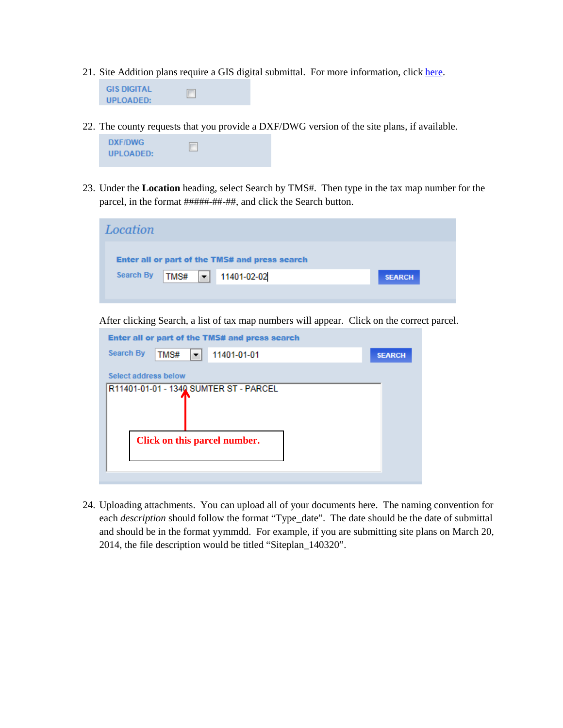- 21. Site Addition plans require a GIS digital submittal. For more information, clic[k here.](http://www.rcgov.us/Portals/0/Departments/Planning/DDSStandards.pdf)
	- **GIS DIGITAL**  $\Box$ **UPLOADED:**
- 22. The county requests that you provide a DXF/DWG version of the site plans, if available.



**Click on this parcel number.**

23. Under the **Location** heading, select Search by TMS#. Then type in the tax map number for the parcel, in the format #####-##-##, and click the Search button.

| Location                 |                                                                                            |               |               |
|--------------------------|--------------------------------------------------------------------------------------------|---------------|---------------|
|                          | Enter all or part of the TMS# and press search                                             |               |               |
| <b>Search By</b><br>TMS# | 11401-02-02<br>×                                                                           |               | <b>SEARCH</b> |
|                          |                                                                                            |               |               |
|                          | After clicking Search, a list of tax map numbers will appear. Click on the correct parcel. |               |               |
|                          | Enter all or part of the TMS# and press search                                             |               |               |
| <b>Search By</b><br>TMS# | 11401-01-01<br>▼                                                                           | <b>SEARCH</b> |               |
| Select address below     |                                                                                            |               |               |
|                          | R11401-01-01 - 1340 SUMTER ST - PARCEL                                                     |               |               |

24. Uploading attachments. You can upload all of your documents here. The naming convention for each *description* should follow the format "Type\_date". The date should be the date of submittal and should be in the format yymmdd. For example, if you are submitting site plans on March 20, 2014, the file description would be titled "Siteplan\_140320".